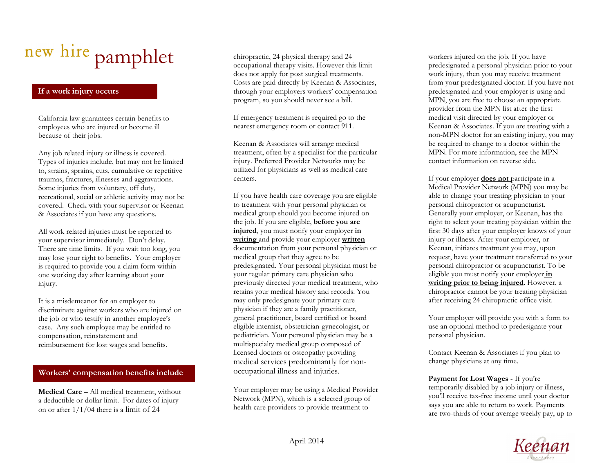# pamphlet

## If a work injury occurs

California law guarantees certain benefits to employees who are injured or become ill because of their jobs.

Any job related injury or illness is covered. Types of injuries include, but may not be limited to, strains, sprains, cuts, cumulative or repetitive traumas, fractures, illnesses and aggravations. Some injuries from voluntary, off duty, recreational, social or athletic activity may not be covered. Check with your supervisor or Keenan & Associates if you have any questions.

All work related injuries must be reported to your supervisor immediately. Don't delay. There are time limits. If you wait too long, you may lose your right to benefits. Your employer is required to provide you a claim form within one working day after learning about your injury.

It is a misdemeanor for an employer to discriminate against workers who are injured on the job or who testify in another employee's case. Any such employee may be entitled to compensation, reinstatement and reimbursement for lost wages and benefits.

#### Workers' compensation benefits include

Medical Care – All medical treatment, without a deductible or dollar limit. For dates of injury on or after  $1/1/04$  there is a limit of 24

chiropractic, 24 physical therapy and 24 occupational therapy visits. However this limit does not apply for post surgical treatments. Costs are paid directly by Keenan & Associates, through your employers workers' compensation program, so you should never see a bill.

If emergency treatment is required go to the nearest emergency room or contact 911.

Keenan & Associates will arrange medical treatment, often by a specialist for the particularinjury. Preferred Provider Networks may be utilized for physicians as well as medical care centers.

If you have health care coverage you are eligible to treatment with your personal physician or medical group should you become injured on the job. If you are eligible, before you are injured, you must notify your employer in writing and provide your employer written documentation from your personal physician or medical group that they agree to be predesignated. Your personal physician must be your regular primary care physician who previously directed your medical treatment, who retains your medical history and records. You may only predesignate your primary care physician if they are a family practitioner, general practitioner, board certified or board eligible internist, obstetrician-gynecologist, or pediatrician. Your personal physician may be a multispecialty medical group composed of licensed doctors or osteopathy providing medical services predominantly for nonoccupational illness and injuries.

Your employer may be using a Medical Provider Network (MPN), which is a selected group of health care providers to provide treatment to

workers injured on the job. If you have predesignated a personal physician prior to your work injury, then you may receive treatment from your predesignated doctor. If you have not predesignated and your employer is using and MPN, you are free to choose an appropriate provider from the MPN list after the first medical visit directed by your employer or Keenan & Associates. If you are treating with a non-MPN doctor for an existing injury, you may be required to change to a doctor within the MPN. For more information, see the MPN contact information on reverse side.

If your employer does not participate in a Medical Provider Network (MPN) you may be able to change your treating physician to your personal chiropractor or acupuncturist. Generally your employer, or Keenan, has the right to select your treating physician within the first 30 days after your employer knows of your injury or illness. After your employer, or Keenan, initiates treatment you may, upon request, have your treatment transferred to your personal chiropractor or acupuncturist. To be eligible you must notify your employer in writing prior to being injured. However, a chiropractor cannot be your treating physician after receiving 24 chiropractic office visit.

Your employer will provide you with a form to use an optional method to predesignate your personal physician.

Contact Keenan & Associates if you plan to change physicians at any time.

Payment for Lost Wages - If you're temporarily disabled by a job injury or illness, you'll receive tax-free income until your doctor says you are able to return to work. Payments are two-thirds of your average weekly pay, up to